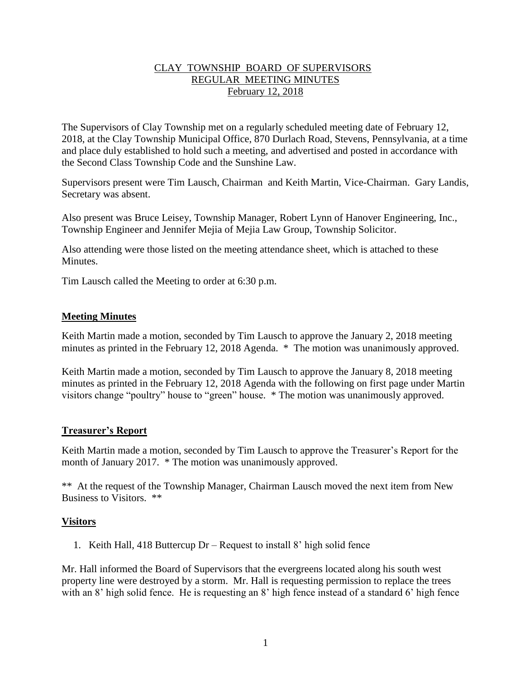# CLAY TOWNSHIP BOARD OF SUPERVISORS REGULAR MEETING MINUTES February 12, 2018

The Supervisors of Clay Township met on a regularly scheduled meeting date of February 12, 2018, at the Clay Township Municipal Office, 870 Durlach Road, Stevens, Pennsylvania, at a time and place duly established to hold such a meeting, and advertised and posted in accordance with the Second Class Township Code and the Sunshine Law.

Supervisors present were Tim Lausch, Chairman and Keith Martin, Vice-Chairman. Gary Landis, Secretary was absent.

Also present was Bruce Leisey, Township Manager, Robert Lynn of Hanover Engineering, Inc., Township Engineer and Jennifer Mejia of Mejia Law Group, Township Solicitor.

Also attending were those listed on the meeting attendance sheet, which is attached to these **Minutes** 

Tim Lausch called the Meeting to order at 6:30 p.m.

### **Meeting Minutes**

Keith Martin made a motion, seconded by Tim Lausch to approve the January 2, 2018 meeting minutes as printed in the February 12, 2018 Agenda. \* The motion was unanimously approved.

Keith Martin made a motion, seconded by Tim Lausch to approve the January 8, 2018 meeting minutes as printed in the February 12, 2018 Agenda with the following on first page under Martin visitors change "poultry" house to "green" house. \* The motion was unanimously approved.

# **Treasurer's Report**

Keith Martin made a motion, seconded by Tim Lausch to approve the Treasurer's Report for the month of January 2017. \* The motion was unanimously approved.

\*\* At the request of the Township Manager, Chairman Lausch moved the next item from New Business to Visitors. \*\*

#### **Visitors**

1. Keith Hall, 418 Buttercup Dr – Request to install 8' high solid fence

Mr. Hall informed the Board of Supervisors that the evergreens located along his south west property line were destroyed by a storm. Mr. Hall is requesting permission to replace the trees with an 8' high solid fence. He is requesting an 8' high fence instead of a standard 6' high fence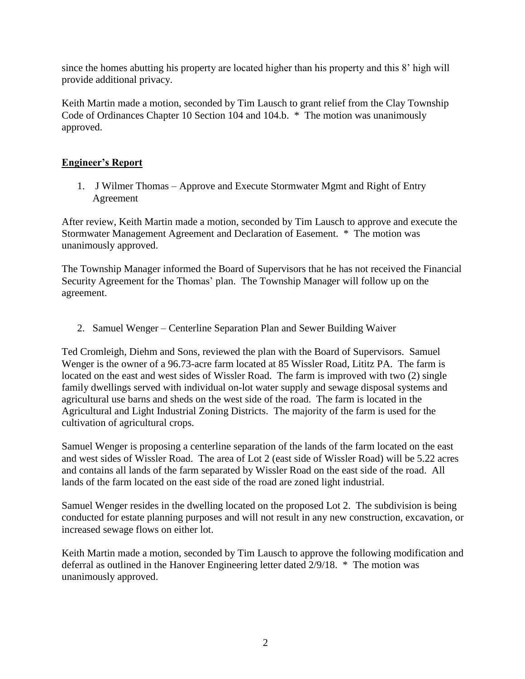since the homes abutting his property are located higher than his property and this 8' high will provide additional privacy.

Keith Martin made a motion, seconded by Tim Lausch to grant relief from the Clay Township Code of Ordinances Chapter 10 Section 104 and 104.b. \* The motion was unanimously approved.

# **Engineer's Report**

1. J Wilmer Thomas – Approve and Execute Stormwater Mgmt and Right of Entry Agreement

After review, Keith Martin made a motion, seconded by Tim Lausch to approve and execute the Stormwater Management Agreement and Declaration of Easement. \* The motion was unanimously approved.

The Township Manager informed the Board of Supervisors that he has not received the Financial Security Agreement for the Thomas' plan. The Township Manager will follow up on the agreement.

2. Samuel Wenger – Centerline Separation Plan and Sewer Building Waiver

Ted Cromleigh, Diehm and Sons, reviewed the plan with the Board of Supervisors. Samuel Wenger is the owner of a 96.73-acre farm located at 85 Wissler Road, Lititz PA. The farm is located on the east and west sides of Wissler Road. The farm is improved with two (2) single family dwellings served with individual on-lot water supply and sewage disposal systems and agricultural use barns and sheds on the west side of the road. The farm is located in the Agricultural and Light Industrial Zoning Districts. The majority of the farm is used for the cultivation of agricultural crops.

Samuel Wenger is proposing a centerline separation of the lands of the farm located on the east and west sides of Wissler Road. The area of Lot 2 (east side of Wissler Road) will be 5.22 acres and contains all lands of the farm separated by Wissler Road on the east side of the road. All lands of the farm located on the east side of the road are zoned light industrial.

Samuel Wenger resides in the dwelling located on the proposed Lot 2. The subdivision is being conducted for estate planning purposes and will not result in any new construction, excavation, or increased sewage flows on either lot.

Keith Martin made a motion, seconded by Tim Lausch to approve the following modification and deferral as outlined in the Hanover Engineering letter dated 2/9/18. \* The motion was unanimously approved.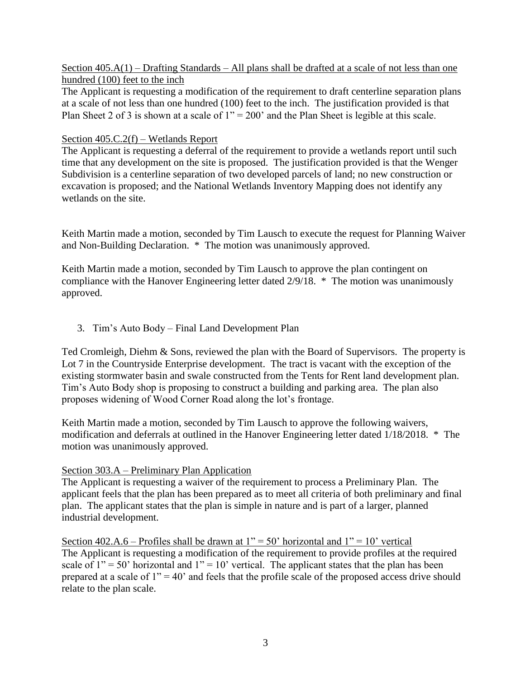#### Section 405.A(1) – Drafting Standards – All plans shall be drafted at a scale of not less than one hundred (100) feet to the inch

The Applicant is requesting a modification of the requirement to draft centerline separation plans at a scale of not less than one hundred (100) feet to the inch. The justification provided is that Plan Sheet 2 of 3 is shown at a scale of 1" = 200' and the Plan Sheet is legible at this scale.

### Section 405.C.2(f) – Wetlands Report

The Applicant is requesting a deferral of the requirement to provide a wetlands report until such time that any development on the site is proposed. The justification provided is that the Wenger Subdivision is a centerline separation of two developed parcels of land; no new construction or excavation is proposed; and the National Wetlands Inventory Mapping does not identify any wetlands on the site.

Keith Martin made a motion, seconded by Tim Lausch to execute the request for Planning Waiver and Non-Building Declaration. \* The motion was unanimously approved.

Keith Martin made a motion, seconded by Tim Lausch to approve the plan contingent on compliance with the Hanover Engineering letter dated 2/9/18. \* The motion was unanimously approved.

3. Tim's Auto Body – Final Land Development Plan

Ted Cromleigh, Diehm & Sons, reviewed the plan with the Board of Supervisors. The property is Lot 7 in the Countryside Enterprise development. The tract is vacant with the exception of the existing stormwater basin and swale constructed from the Tents for Rent land development plan. Tim's Auto Body shop is proposing to construct a building and parking area. The plan also proposes widening of Wood Corner Road along the lot's frontage.

Keith Martin made a motion, seconded by Tim Lausch to approve the following waivers, modification and deferrals at outlined in the Hanover Engineering letter dated 1/18/2018. \* The motion was unanimously approved.

#### Section 303.A – Preliminary Plan Application

The Applicant is requesting a waiver of the requirement to process a Preliminary Plan. The applicant feels that the plan has been prepared as to meet all criteria of both preliminary and final plan. The applicant states that the plan is simple in nature and is part of a larger, planned industrial development.

Section 402.A.6 – Profiles shall be drawn at  $1'' = 50'$  horizontal and  $1'' = 10'$  vertical The Applicant is requesting a modification of the requirement to provide profiles at the required scale of  $1'' = 50'$  horizontal and  $1'' = 10'$  vertical. The applicant states that the plan has been prepared at a scale of  $1" = 40'$  and feels that the profile scale of the proposed access drive should relate to the plan scale.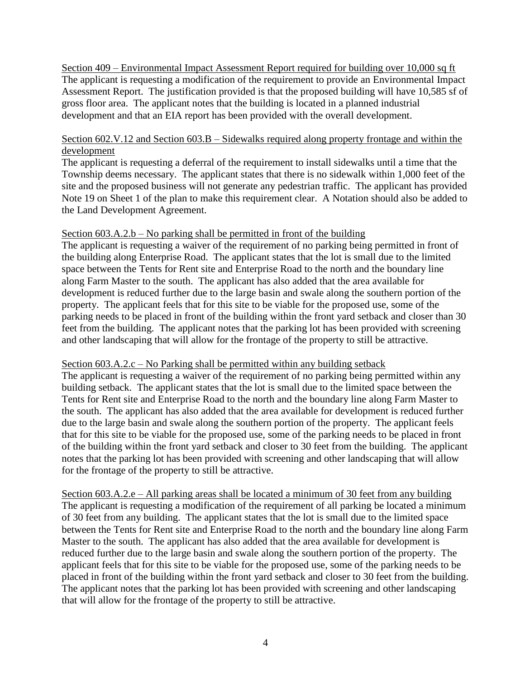Section 409 – Environmental Impact Assessment Report required for building over 10,000 sq ft The applicant is requesting a modification of the requirement to provide an Environmental Impact Assessment Report. The justification provided is that the proposed building will have 10,585 sf of gross floor area. The applicant notes that the building is located in a planned industrial development and that an EIA report has been provided with the overall development.

### Section 602.V.12 and Section 603.B – Sidewalks required along property frontage and within the development

The applicant is requesting a deferral of the requirement to install sidewalks until a time that the Township deems necessary. The applicant states that there is no sidewalk within 1,000 feet of the site and the proposed business will not generate any pedestrian traffic. The applicant has provided Note 19 on Sheet 1 of the plan to make this requirement clear. A Notation should also be added to the Land Development Agreement.

### Section 603.A.2.b – No parking shall be permitted in front of the building

The applicant is requesting a waiver of the requirement of no parking being permitted in front of the building along Enterprise Road. The applicant states that the lot is small due to the limited space between the Tents for Rent site and Enterprise Road to the north and the boundary line along Farm Master to the south. The applicant has also added that the area available for development is reduced further due to the large basin and swale along the southern portion of the property. The applicant feels that for this site to be viable for the proposed use, some of the parking needs to be placed in front of the building within the front yard setback and closer than 30 feet from the building. The applicant notes that the parking lot has been provided with screening and other landscaping that will allow for the frontage of the property to still be attractive.

#### Section 603.A.2.c – No Parking shall be permitted within any building setback

The applicant is requesting a waiver of the requirement of no parking being permitted within any building setback. The applicant states that the lot is small due to the limited space between the Tents for Rent site and Enterprise Road to the north and the boundary line along Farm Master to the south. The applicant has also added that the area available for development is reduced further due to the large basin and swale along the southern portion of the property. The applicant feels that for this site to be viable for the proposed use, some of the parking needs to be placed in front of the building within the front yard setback and closer to 30 feet from the building. The applicant notes that the parking lot has been provided with screening and other landscaping that will allow for the frontage of the property to still be attractive.

Section 603.A.2.e – All parking areas shall be located a minimum of 30 feet from any building The applicant is requesting a modification of the requirement of all parking be located a minimum of 30 feet from any building. The applicant states that the lot is small due to the limited space between the Tents for Rent site and Enterprise Road to the north and the boundary line along Farm Master to the south. The applicant has also added that the area available for development is reduced further due to the large basin and swale along the southern portion of the property. The applicant feels that for this site to be viable for the proposed use, some of the parking needs to be placed in front of the building within the front yard setback and closer to 30 feet from the building. The applicant notes that the parking lot has been provided with screening and other landscaping that will allow for the frontage of the property to still be attractive.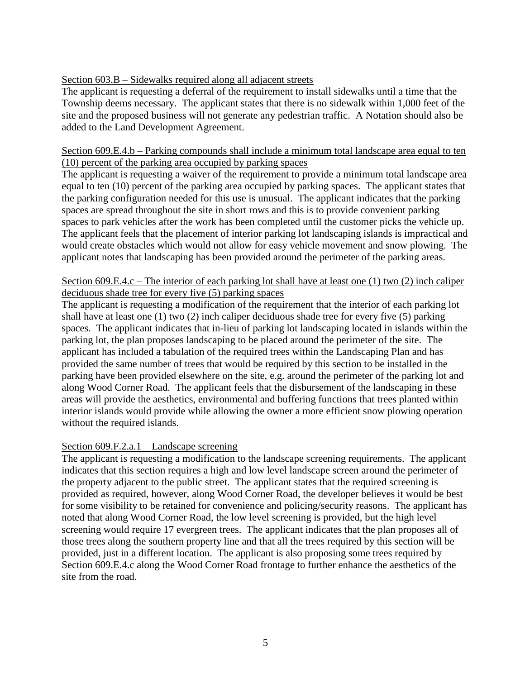# Section 603.B – Sidewalks required along all adjacent streets

The applicant is requesting a deferral of the requirement to install sidewalks until a time that the Township deems necessary. The applicant states that there is no sidewalk within 1,000 feet of the site and the proposed business will not generate any pedestrian traffic. A Notation should also be added to the Land Development Agreement.

### Section 609.E.4.b – Parking compounds shall include a minimum total landscape area equal to ten (10) percent of the parking area occupied by parking spaces

The applicant is requesting a waiver of the requirement to provide a minimum total landscape area equal to ten (10) percent of the parking area occupied by parking spaces. The applicant states that the parking configuration needed for this use is unusual. The applicant indicates that the parking spaces are spread throughout the site in short rows and this is to provide convenient parking spaces to park vehicles after the work has been completed until the customer picks the vehicle up. The applicant feels that the placement of interior parking lot landscaping islands is impractical and would create obstacles which would not allow for easy vehicle movement and snow plowing. The applicant notes that landscaping has been provided around the perimeter of the parking areas.

# Section 609.E.4.c – The interior of each parking lot shall have at least one (1) two (2) inch caliper deciduous shade tree for every five (5) parking spaces

The applicant is requesting a modification of the requirement that the interior of each parking lot shall have at least one (1) two (2) inch caliper deciduous shade tree for every five (5) parking spaces. The applicant indicates that in-lieu of parking lot landscaping located in islands within the parking lot, the plan proposes landscaping to be placed around the perimeter of the site. The applicant has included a tabulation of the required trees within the Landscaping Plan and has provided the same number of trees that would be required by this section to be installed in the parking have been provided elsewhere on the site, e.g. around the perimeter of the parking lot and along Wood Corner Road. The applicant feels that the disbursement of the landscaping in these areas will provide the aesthetics, environmental and buffering functions that trees planted within interior islands would provide while allowing the owner a more efficient snow plowing operation without the required islands.

# Section 609.F.2.a.1 – Landscape screening

The applicant is requesting a modification to the landscape screening requirements. The applicant indicates that this section requires a high and low level landscape screen around the perimeter of the property adjacent to the public street. The applicant states that the required screening is provided as required, however, along Wood Corner Road, the developer believes it would be best for some visibility to be retained for convenience and policing/security reasons. The applicant has noted that along Wood Corner Road, the low level screening is provided, but the high level screening would require 17 evergreen trees. The applicant indicates that the plan proposes all of those trees along the southern property line and that all the trees required by this section will be provided, just in a different location. The applicant is also proposing some trees required by Section 609.E.4.c along the Wood Corner Road frontage to further enhance the aesthetics of the site from the road.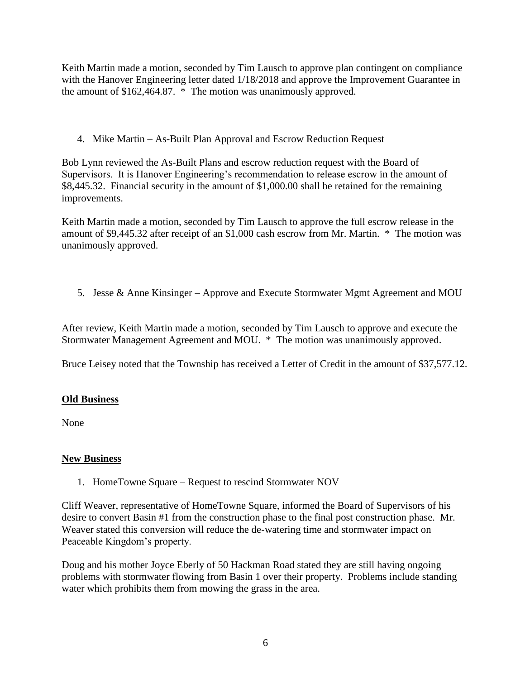Keith Martin made a motion, seconded by Tim Lausch to approve plan contingent on compliance with the Hanover Engineering letter dated 1/18/2018 and approve the Improvement Guarantee in the amount of \$162,464.87. \* The motion was unanimously approved.

4. Mike Martin – As-Built Plan Approval and Escrow Reduction Request

Bob Lynn reviewed the As-Built Plans and escrow reduction request with the Board of Supervisors. It is Hanover Engineering's recommendation to release escrow in the amount of \$8,445.32. Financial security in the amount of \$1,000.00 shall be retained for the remaining improvements.

Keith Martin made a motion, seconded by Tim Lausch to approve the full escrow release in the amount of \$9,445.32 after receipt of an \$1,000 cash escrow from Mr. Martin. \* The motion was unanimously approved.

5. Jesse & Anne Kinsinger – Approve and Execute Stormwater Mgmt Agreement and MOU

After review, Keith Martin made a motion, seconded by Tim Lausch to approve and execute the Stormwater Management Agreement and MOU. \* The motion was unanimously approved.

Bruce Leisey noted that the Township has received a Letter of Credit in the amount of \$37,577.12.

# **Old Business**

None

# **New Business**

1. HomeTowne Square – Request to rescind Stormwater NOV

Cliff Weaver, representative of HomeTowne Square, informed the Board of Supervisors of his desire to convert Basin #1 from the construction phase to the final post construction phase. Mr. Weaver stated this conversion will reduce the de-watering time and stormwater impact on Peaceable Kingdom's property.

Doug and his mother Joyce Eberly of 50 Hackman Road stated they are still having ongoing problems with stormwater flowing from Basin 1 over their property. Problems include standing water which prohibits them from mowing the grass in the area.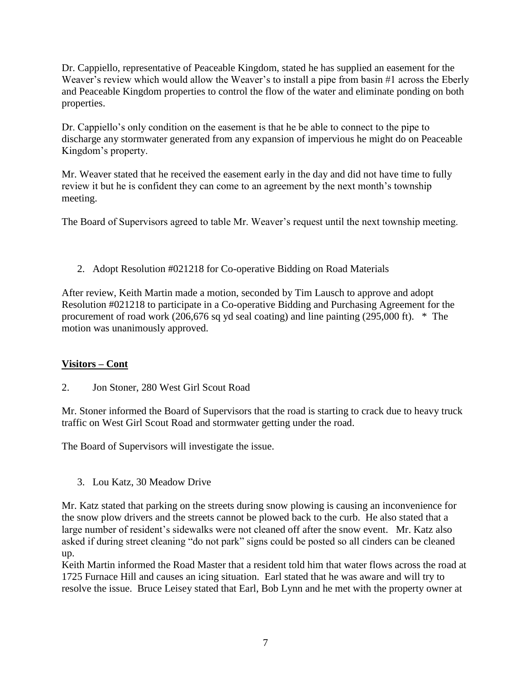Dr. Cappiello, representative of Peaceable Kingdom, stated he has supplied an easement for the Weaver's review which would allow the Weaver's to install a pipe from basin #1 across the Eberly and Peaceable Kingdom properties to control the flow of the water and eliminate ponding on both properties.

Dr. Cappiello's only condition on the easement is that he be able to connect to the pipe to discharge any stormwater generated from any expansion of impervious he might do on Peaceable Kingdom's property.

Mr. Weaver stated that he received the easement early in the day and did not have time to fully review it but he is confident they can come to an agreement by the next month's township meeting.

The Board of Supervisors agreed to table Mr. Weaver's request until the next township meeting.

2. Adopt Resolution #021218 for Co-operative Bidding on Road Materials

After review, Keith Martin made a motion, seconded by Tim Lausch to approve and adopt Resolution #021218 to participate in a Co-operative Bidding and Purchasing Agreement for the procurement of road work (206,676 sq yd seal coating) and line painting (295,000 ft). \* The motion was unanimously approved.

# **Visitors – Cont**

2. Jon Stoner, 280 West Girl Scout Road

Mr. Stoner informed the Board of Supervisors that the road is starting to crack due to heavy truck traffic on West Girl Scout Road and stormwater getting under the road.

The Board of Supervisors will investigate the issue.

3. Lou Katz, 30 Meadow Drive

Mr. Katz stated that parking on the streets during snow plowing is causing an inconvenience for the snow plow drivers and the streets cannot be plowed back to the curb. He also stated that a large number of resident's sidewalks were not cleaned off after the snow event. Mr. Katz also asked if during street cleaning "do not park" signs could be posted so all cinders can be cleaned up.

Keith Martin informed the Road Master that a resident told him that water flows across the road at 1725 Furnace Hill and causes an icing situation. Earl stated that he was aware and will try to resolve the issue. Bruce Leisey stated that Earl, Bob Lynn and he met with the property owner at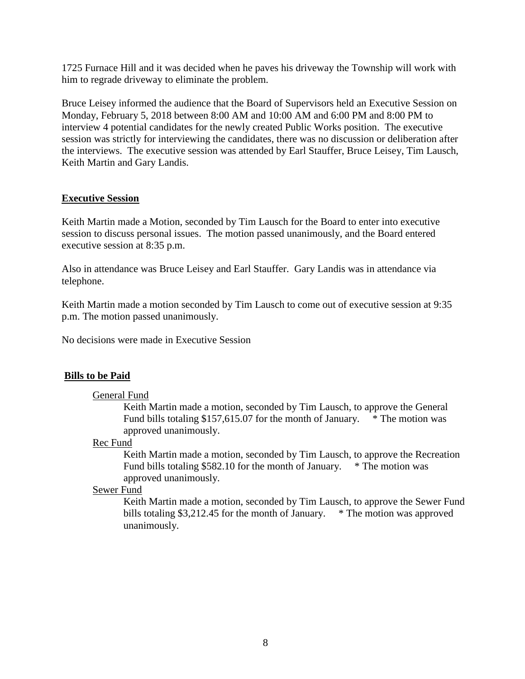1725 Furnace Hill and it was decided when he paves his driveway the Township will work with him to regrade driveway to eliminate the problem.

Bruce Leisey informed the audience that the Board of Supervisors held an Executive Session on Monday, February 5, 2018 between 8:00 AM and 10:00 AM and 6:00 PM and 8:00 PM to interview 4 potential candidates for the newly created Public Works position. The executive session was strictly for interviewing the candidates, there was no discussion or deliberation after the interviews. The executive session was attended by Earl Stauffer, Bruce Leisey, Tim Lausch, Keith Martin and Gary Landis.

### **Executive Session**

Keith Martin made a Motion, seconded by Tim Lausch for the Board to enter into executive session to discuss personal issues. The motion passed unanimously, and the Board entered executive session at 8:35 p.m.

Also in attendance was Bruce Leisey and Earl Stauffer. Gary Landis was in attendance via telephone.

Keith Martin made a motion seconded by Tim Lausch to come out of executive session at 9:35 p.m. The motion passed unanimously.

No decisions were made in Executive Session

#### **Bills to be Paid**

#### General Fund

Keith Martin made a motion, seconded by Tim Lausch, to approve the General Fund bills totaling \$157,615.07 for the month of January. \* The motion was approved unanimously.

#### Rec Fund

Keith Martin made a motion, seconded by Tim Lausch, to approve the Recreation Fund bills totaling \$582.10 for the month of January. \* The motion was approved unanimously.

#### Sewer Fund

Keith Martin made a motion, seconded by Tim Lausch, to approve the Sewer Fund bills totaling \$3,212.45 for the month of January. \* The motion was approved unanimously.